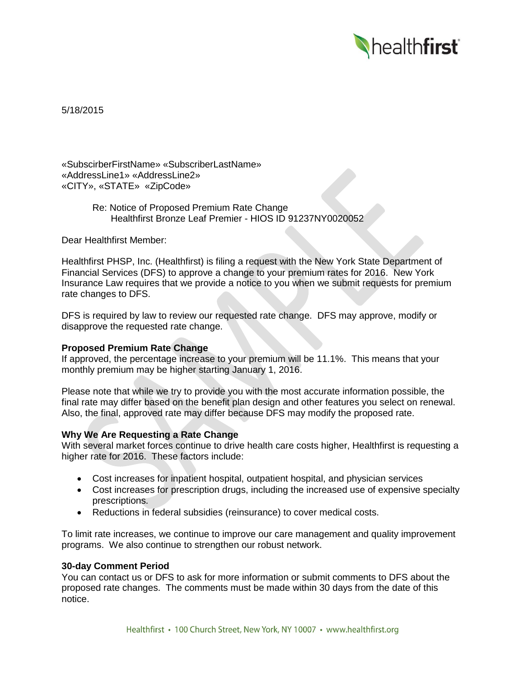

5/18/2015

«SubscirberFirstName» «SubscriberLastName» «AddressLine1» «AddressLine2» «CITY», «STATE» «ZipCode»

> Re: Notice of Proposed Premium Rate Change Healthfirst Bronze Leaf Premier - HIOS ID 91237NY0020052

Dear Healthfirst Member:

Healthfirst PHSP, Inc. (Healthfirst) is filing a request with the New York State Department of Financial Services (DFS) to approve a change to your premium rates for 2016. New York Insurance Law requires that we provide a notice to you when we submit requests for premium rate changes to DFS.

DFS is required by law to review our requested rate change. DFS may approve, modify or disapprove the requested rate change.

# **Proposed Premium Rate Change**

If approved, the percentage increase to your premium will be 11.1%. This means that your monthly premium may be higher starting January 1, 2016.

Please note that while we try to provide you with the most accurate information possible, the final rate may differ based on the benefit plan design and other features you select on renewal. Also, the final, approved rate may differ because DFS may modify the proposed rate.

## **Why We Are Requesting a Rate Change**

With several market forces continue to drive health care costs higher, Healthfirst is requesting a higher rate for 2016. These factors include:

- Cost increases for inpatient hospital, outpatient hospital, and physician services
- Cost increases for prescription drugs, including the increased use of expensive specialty prescriptions.
- Reductions in federal subsidies (reinsurance) to cover medical costs.

To limit rate increases, we continue to improve our care management and quality improvement programs. We also continue to strengthen our robust network.

#### **30-day Comment Period**

You can contact us or DFS to ask for more information or submit comments to DFS about the proposed rate changes. The comments must be made within 30 days from the date of this notice.